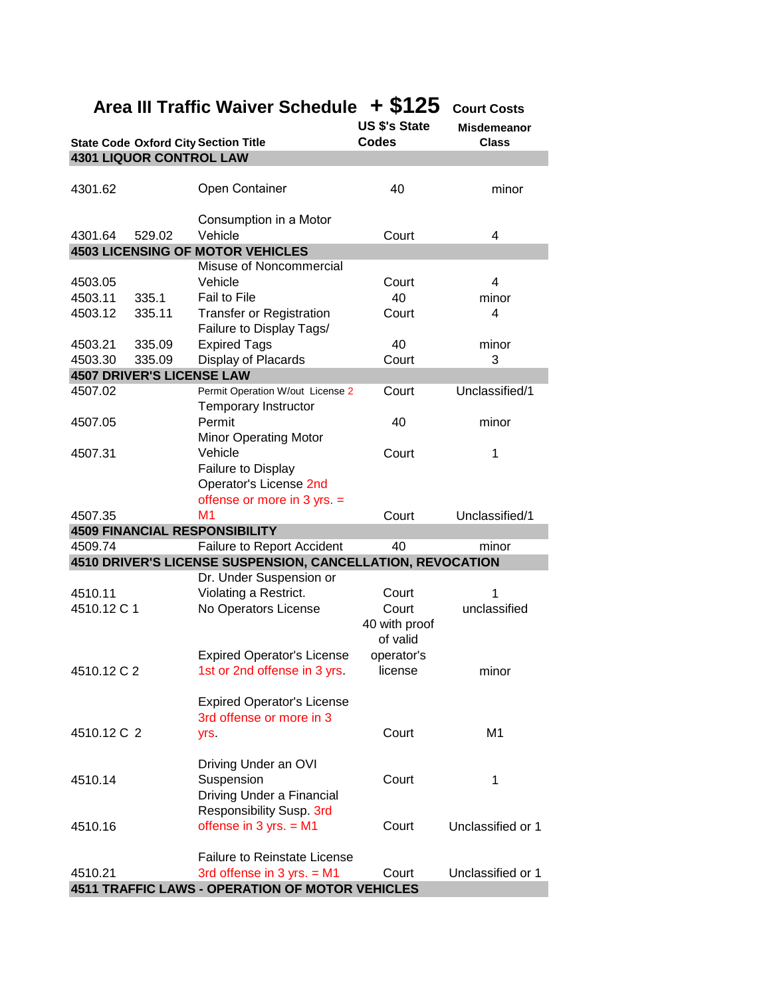|         |             |        | Area III Traffic walver Schedule $\pm$ 5 FZ 3                   |               | Court Costs        |
|---------|-------------|--------|-----------------------------------------------------------------|---------------|--------------------|
|         |             |        |                                                                 | US \$'s State | <b>Misdemeanor</b> |
|         |             |        | <b>State Code Oxford City Section Title</b>                     | <b>Codes</b>  | <b>Class</b>       |
|         |             |        | <b>4301 LIQUOR CONTROL LAW</b>                                  |               |                    |
|         |             |        |                                                                 |               |                    |
| 4301.62 |             |        | Open Container                                                  | 40            | minor              |
| 4301.64 |             | 529.02 | Consumption in a Motor<br>Vehicle                               | Court         | 4                  |
|         |             |        | <b>4503 LICENSING OF MOTOR VEHICLES</b>                         |               |                    |
|         |             |        | Misuse of Noncommercial                                         |               |                    |
| 4503.05 |             |        | Vehicle                                                         | Court         | 4                  |
| 4503.11 |             | 335.1  | Fail to File                                                    | 40            | minor              |
| 4503.12 |             | 335.11 | <b>Transfer or Registration</b>                                 | Court         | 4                  |
|         |             |        | Failure to Display Tags/                                        |               |                    |
| 4503.21 |             | 335.09 | <b>Expired Tags</b>                                             | 40            | minor              |
| 4503.30 |             | 335.09 | Display of Placards                                             | Court         | 3                  |
|         |             |        | <b>4507 DRIVER'S LICENSE LAW</b>                                |               |                    |
| 4507.02 |             |        | Permit Operation W/out License 2<br><b>Temporary Instructor</b> | Court         | Unclassified/1     |
| 4507.05 |             |        | Permit                                                          | 40            | minor              |
|         |             |        | <b>Minor Operating Motor</b>                                    |               |                    |
| 4507.31 |             |        | Vehicle                                                         | Court         | 1                  |
|         |             |        | Failure to Display                                              |               |                    |
|         |             |        | Operator's License 2nd                                          |               |                    |
|         |             |        | offense or more in 3 yrs. =                                     |               |                    |
| 4507.35 |             |        | M <sub>1</sub>                                                  | Court         | Unclassified/1     |
|         |             |        | <b>4509 FINANCIAL RESPONSIBILITY</b>                            |               |                    |
|         |             |        |                                                                 |               |                    |
| 4509.74 |             |        | Failure to Report Accident                                      | 40            | minor              |
|         |             |        | 4510 DRIVER'S LICENSE SUSPENSION, CANCELLATION, REVOCATION      |               |                    |
|         |             |        | Dr. Under Suspension or                                         |               |                    |
| 4510.11 |             |        | Violating a Restrict.                                           | Court         | 1                  |
|         | 4510.12 C 1 |        | No Operators License                                            | Court         | unclassified       |
|         |             |        |                                                                 | 40 with proof |                    |
|         |             |        |                                                                 | of valid      |                    |
|         |             |        | <b>Expired Operator's License</b>                               | operator's    |                    |
|         | 4510.12 C 2 |        | 1st or 2nd offense in 3 yrs.                                    | license       | minor              |
|         |             |        |                                                                 |               |                    |
|         |             |        | <b>Expired Operator's License</b>                               |               |                    |
|         |             |        | 3rd offense or more in 3                                        |               |                    |
|         | 4510.12 C 2 |        | yrs.                                                            | Court         | M <sub>1</sub>     |
|         |             |        |                                                                 |               |                    |
|         |             |        | Driving Under an OVI                                            |               |                    |
|         |             |        | Suspension                                                      | Court         | 1                  |
| 4510.14 |             |        |                                                                 |               |                    |
|         |             |        | Driving Under a Financial                                       |               |                    |
|         |             |        | Responsibility Susp. 3rd                                        |               |                    |
| 4510.16 |             |        | offense in $3$ yrs. = M1                                        | Court         | Unclassified or 1  |
|         |             |        |                                                                 |               |                    |
|         |             |        | <b>Failure to Reinstate License</b>                             |               |                    |
| 4510.21 |             |        | 3rd offense in 3 yrs. $= M1$                                    | Court         | Unclassified or 1  |

**Area III Traffic Waiver Schedule + \$125 Court Costs** 

**4511 TRAFFIC LAWS - OPERATION OF MOTOR VEHICLES**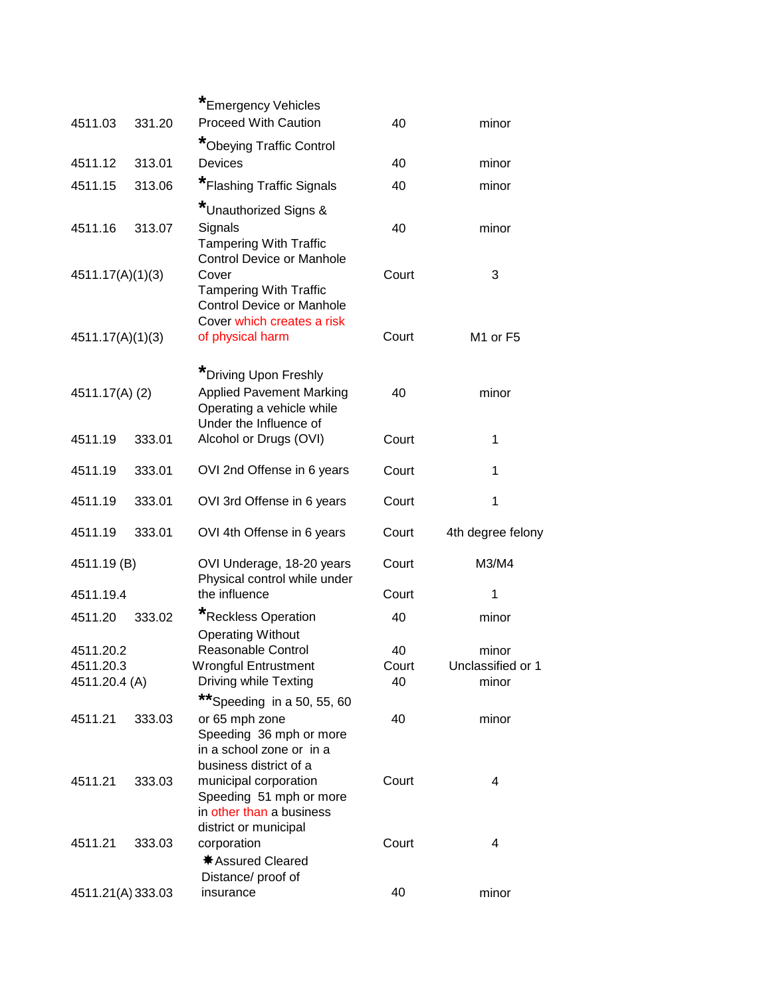| 4511.03           | 331.20 | *Emergency Vehicles<br><b>Proceed With Caution</b>                                                                                           | 40    | minor                            |
|-------------------|--------|----------------------------------------------------------------------------------------------------------------------------------------------|-------|----------------------------------|
|                   |        | *Obeying Traffic Control                                                                                                                     |       |                                  |
| 4511.12           | 313.01 | Devices                                                                                                                                      | 40    | minor                            |
| 4511.15           | 313.06 | *Flashing Traffic Signals                                                                                                                    | 40    | minor                            |
|                   |        | *Unauthorized Signs &                                                                                                                        |       |                                  |
| 4511.16           | 313.07 | Signals<br><b>Tampering With Traffic</b>                                                                                                     | 40    | minor                            |
| 4511.17(A)(1)(3)  |        | <b>Control Device or Manhole</b><br>Cover<br><b>Tampering With Traffic</b><br><b>Control Device or Manhole</b><br>Cover which creates a risk | Court | 3                                |
| 4511.17(A)(1)(3)  |        | of physical harm                                                                                                                             | Court | M <sub>1</sub> or F <sub>5</sub> |
| 4511.17(A) (2)    |        | *Driving Upon Freshly<br><b>Applied Pavement Marking</b><br>Operating a vehicle while<br>Under the Influence of                              | 40    | minor                            |
| 4511.19           | 333.01 | Alcohol or Drugs (OVI)                                                                                                                       | Court | 1                                |
| 4511.19           | 333.01 | OVI 2nd Offense in 6 years                                                                                                                   | Court | 1                                |
| 4511.19           | 333.01 | OVI 3rd Offense in 6 years                                                                                                                   | Court | 1                                |
| 4511.19           | 333.01 | OVI 4th Offense in 6 years                                                                                                                   | Court | 4th degree felony                |
| 4511.19 (B)       |        | OVI Underage, 18-20 years<br>Physical control while under                                                                                    | Court | M3/M4                            |
| 4511.19.4         |        | the influence                                                                                                                                | Court | 1                                |
| 4511.20           | 333.02 | *Reckless Operation<br><b>Operating Without</b>                                                                                              | 40    | minor                            |
| 4511.20.2         |        | Reasonable Control                                                                                                                           | 40    | minor                            |
| 4511.20.3         |        | <b>Wrongful Entrustment</b>                                                                                                                  | Court | Unclassified or 1                |
| 4511.20.4 (A)     |        | Driving while Texting<br>**Speeding in a 50, 55, 60                                                                                          | 40    | minor                            |
| 4511.21           | 333.03 | or 65 mph zone<br>Speeding 36 mph or more<br>in a school zone or in a                                                                        | 40    | minor                            |
| 4511.21           | 333.03 | business district of a<br>municipal corporation<br>Speeding 51 mph or more<br>in other than a business                                       | Court | 4                                |
| 4511.21           | 333.03 | district or municipal<br>corporation<br>* Assured Cleared<br>Distance/ proof of                                                              | Court | 4                                |
| 4511.21(A) 333.03 |        | insurance                                                                                                                                    | 40    | minor                            |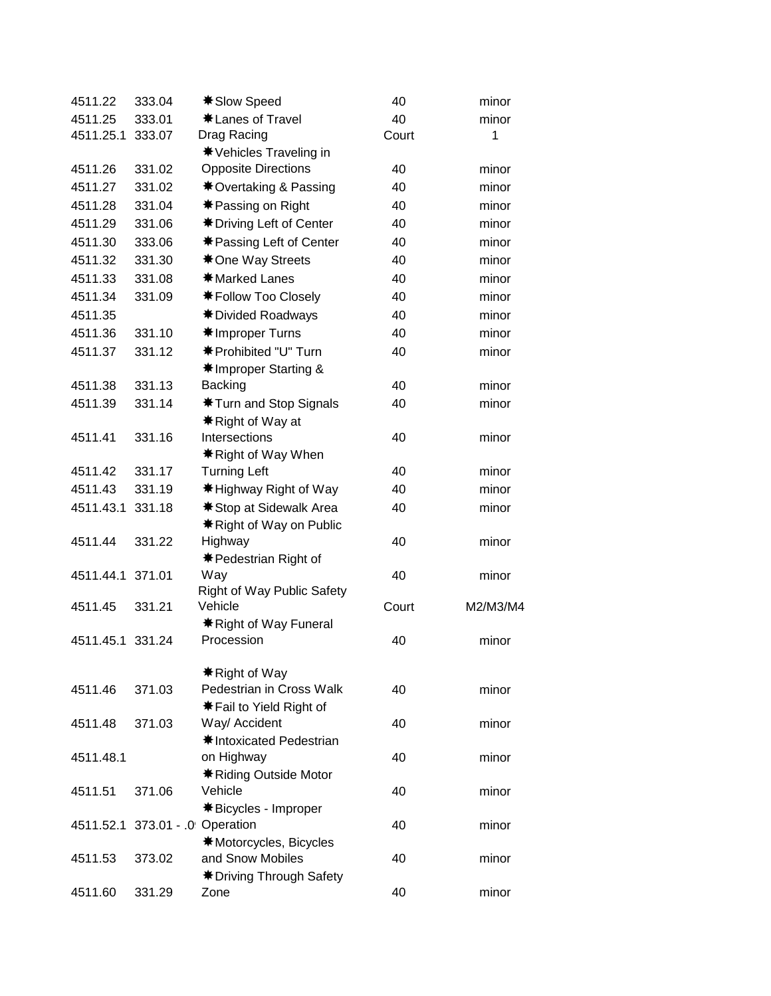| 4511.22   | 333.04               | <b><math>*</math> Slow Speed</b>                         | 40    | minor    |
|-----------|----------------------|----------------------------------------------------------|-------|----------|
| 4511.25   | 333.01               | *Lanes of Travel                                         | 40    | minor    |
| 4511.25.1 | 333.07               | Drag Racing                                              | Court | 1        |
|           |                      | <b><math>*</math></b> Vehicles Traveling in              |       |          |
| 4511.26   | 331.02               | <b>Opposite Directions</b>                               | 40    | minor    |
| 4511.27   | 331.02               | <b><math>*</math></b> Overtaking & Passing               | 40    | minor    |
| 4511.28   | 331.04               | <b><math>*</math> Passing on Right</b>                   | 40    | minor    |
| 4511.29   | 331.06               | <b><math>*</math> Driving Left of Center</b>             | 40    | minor    |
| 4511.30   | 333.06               | <b><math>*</math> Passing Left of Center</b>             | 40    | minor    |
| 4511.32   | 331.30               | <b><math>*</math> One Way Streets</b>                    | 40    | minor    |
| 4511.33   | 331.08               | <b><math>*</math>Marked Lanes</b>                        | 40    | minor    |
| 4511.34   | 331.09               | <b><math>*</math> Follow Too Closely</b>                 | 40    | minor    |
| 4511.35   |                      | <b><math>*</math> Divided Roadways</b>                   | 40    | minor    |
| 4511.36   | 331.10               | <b><math>*</math>Improper Turns</b>                      | 40    | minor    |
| 4511.37   | 331.12               | <b>*</b> Prohibited "U" Turn                             | 40    | minor    |
|           |                      | <b><math>*</math>Improper Starting &amp;</b>             |       |          |
| 4511.38   | 331.13               | <b>Backing</b>                                           | 40    | minor    |
| 4511.39   | 331.14               | <b><math>*</math> Turn and Stop Signals</b>              | 40    | minor    |
|           |                      | <b><math>*</math></b> Right of Way at                    |       |          |
| 4511.41   | 331.16               | Intersections                                            | 40    | minor    |
|           |                      | <b><math>*</math></b> Right of Way When                  |       |          |
| 4511.42   | 331.17               | <b>Turning Left</b>                                      | 40    | minor    |
| 4511.43   | 331.19               | <b><math>*</math> Highway Right of Way</b>               | 40    | minor    |
| 4511.43.1 | 331.18               | <b><math>*</math> Stop at Sidewalk Area</b>              | 40    | minor    |
|           |                      | <b><math>*</math> Right of Way on Public</b>             |       |          |
| 4511.44   | 331.22               | Highway                                                  | 40    | minor    |
|           |                      | <b><math>*</math> Pedestrian Right of</b>                |       |          |
| 4511.44.1 | 371.01               | Way                                                      | 40    | minor    |
|           |                      | Right of Way Public Safety                               |       |          |
| 4511.45   | 331.21               | Vehicle                                                  | Court | M2/M3/M4 |
| 4511.45.1 | 331.24               | <b><math>*</math> Right of Way Funeral</b><br>Procession | 40    | minor    |
|           |                      |                                                          |       |          |
|           |                      | <b><math>*</math></b> Right of Way                       |       |          |
| 4511.46   | 371.03               | Pedestrian in Cross Walk                                 | 40    | minor    |
|           |                      | <b><math>*</math> Fail to Yield Right of</b>             |       |          |
| 4511.48   | 371.03               | Way/ Accident                                            | 40    | minor    |
|           |                      | <b><math>*</math>Intoxicated Pedestrian</b>              |       |          |
| 4511.48.1 |                      | on Highway                                               | 40    | minor    |
|           |                      | <b><math>*</math> Riding Outside Motor</b>               |       |          |
| 4511.51   | 371.06               | Vehicle                                                  | 40    | minor    |
|           |                      | <b><math>*</math>Bicycles - Improper</b>                 |       |          |
| 4511.52.1 | 373.01 - 0 Operation |                                                          | 40    | minor    |
|           |                      | <b><math>*</math>Motorcycles, Bicycles</b>               |       |          |
| 4511.53   | 373.02               | and Snow Mobiles                                         | 40    | minor    |
|           |                      | <b><math>*</math> Driving Through Safety</b>             |       |          |
| 4511.60   | 331.29               | Zone                                                     | 40    | minor    |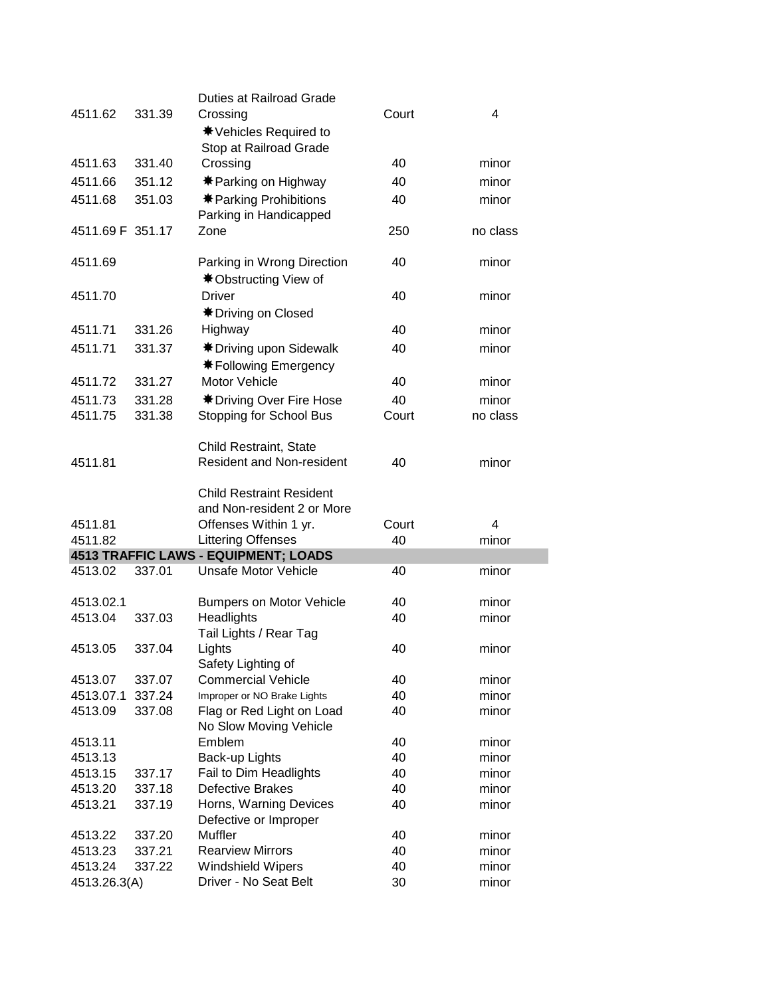|                  |        | <b>Duties at Railroad Grade</b>                                      |       |          |
|------------------|--------|----------------------------------------------------------------------|-------|----------|
| 4511.62          | 331.39 | Crossing                                                             | Court | 4        |
|                  |        | <b><math>*</math></b> Vehicles Required to                           |       |          |
|                  |        | Stop at Railroad Grade                                               |       |          |
| 4511.63          | 331.40 | Crossing                                                             | 40    | minor    |
|                  |        |                                                                      |       | minor    |
| 4511.66          | 351.12 | <b><math>*</math> Parking on Highway</b>                             | 40    |          |
| 4511.68          | 351.03 | <b><math>*</math> Parking Prohibitions</b><br>Parking in Handicapped | 40    | minor    |
| 4511.69 F 351.17 |        | Zone                                                                 | 250   | no class |
|                  |        |                                                                      |       |          |
| 4511.69          |        | Parking in Wrong Direction                                           | 40    | minor    |
|                  |        | <b><math>*</math> Obstructing View of</b>                            |       |          |
| 4511.70          |        | <b>Driver</b>                                                        | 40    | minor    |
|                  |        | <b><math>*</math> Driving on Closed</b>                              |       |          |
| 4511.71          | 331.26 | Highway                                                              | 40    | minor    |
| 4511.71          | 331.37 | <b><math>*</math> Driving upon Sidewalk</b>                          | 40    | minor    |
|                  |        | <b><math>*</math> Following Emergency</b>                            |       |          |
|                  | 331.27 | <b>Motor Vehicle</b>                                                 |       |          |
| 4511.72          |        |                                                                      | 40    | minor    |
| 4511.73          | 331.28 | <b><math>*</math> Driving Over Fire Hose</b>                         | 40    | minor    |
| 4511.75          | 331.38 | <b>Stopping for School Bus</b>                                       | Court | no class |
|                  |        |                                                                      |       |          |
|                  |        | Child Restraint, State                                               |       |          |
| 4511.81          |        | <b>Resident and Non-resident</b>                                     | 40    | minor    |
|                  |        |                                                                      |       |          |
|                  |        | <b>Child Restraint Resident</b>                                      |       |          |
|                  |        | and Non-resident 2 or More                                           |       |          |
| 4511.81          |        | Offenses Within 1 yr.                                                | Court | 4        |
| 4511.82          |        | <b>Littering Offenses</b>                                            | 40    | minor    |
|                  |        | 4513 TRAFFIC LAWS - EQUIPMENT; LOADS<br><b>Unsafe Motor Vehicle</b>  |       |          |
| 4513.02          | 337.01 |                                                                      | 40    | minor    |
| 4513.02.1        |        | <b>Bumpers on Motor Vehicle</b>                                      | 40    | minor    |
| 4513.04          | 337.03 | Headlights                                                           | 40    | minor    |
|                  |        | Tail Lights / Rear Tag                                               |       |          |
| 4513.05          | 337.04 | Lights                                                               | 40    | minor    |
|                  |        | Safety Lighting of                                                   |       |          |
| 4513.07          | 337.07 | <b>Commercial Vehicle</b>                                            | 40    | minor    |
| 4513.07.1        | 337.24 | Improper or NO Brake Lights                                          | 40    | minor    |
| 4513.09          | 337.08 | Flag or Red Light on Load                                            | 40    | minor    |
|                  |        | No Slow Moving Vehicle                                               |       |          |
| 4513.11          |        | Emblem                                                               | 40    | minor    |
| 4513.13          |        | Back-up Lights                                                       | 40    | minor    |
| 4513.15          | 337.17 | Fail to Dim Headlights                                               | 40    | minor    |
| 4513.20          | 337.18 | <b>Defective Brakes</b>                                              | 40    | minor    |
| 4513.21          | 337.19 | Horns, Warning Devices                                               | 40    | minor    |
|                  |        | Defective or Improper                                                |       |          |
| 4513.22          | 337.20 | Muffler                                                              | 40    | minor    |
| 4513.23          |        | <b>Rearview Mirrors</b>                                              |       | minor    |
|                  | 337.21 |                                                                      | 40    |          |
| 4513.24          | 337.22 | <b>Windshield Wipers</b>                                             | 40    | minor    |